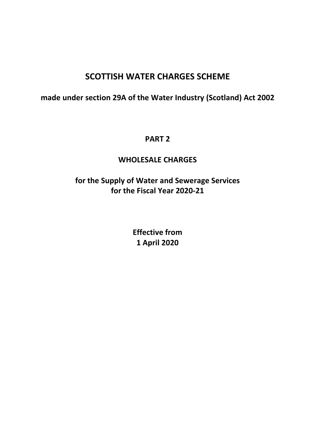# SCOTTISH WATER CHARGES SCHEME

## made under section 29A of the Water Industry (Scotland) Act 2002

## PART 2

## WHOLESALE CHARGES

# for the Supply of Water and Sewerage Services for the Fiscal Year 2020-21

Effective from 1 April 2020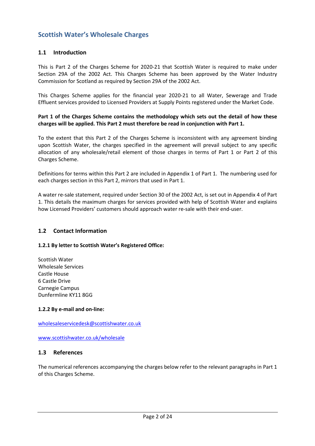## Scottish Water's Wholesale Charges

#### 1.1 Introduction

This is Part 2 of the Charges Scheme for 2020-21 that Scottish Water is required to make under Section 29A of the 2002 Act. This Charges Scheme has been approved by the Water Industry Commission for Scotland as required by Section 29A of the 2002 Act.

This Charges Scheme applies for the financial year 2020-21 to all Water, Sewerage and Trade Effluent services provided to Licensed Providers at Supply Points registered under the Market Code.

#### Part 1 of the Charges Scheme contains the methodology which sets out the detail of how these charges will be applied. This Part 2 must therefore be read in conjunction with Part 1.

To the extent that this Part 2 of the Charges Scheme is inconsistent with any agreement binding upon Scottish Water, the charges specified in the agreement will prevail subject to any specific allocation of any wholesale/retail element of those charges in terms of Part 1 or Part 2 of this Charges Scheme.

Definitions for terms within this Part 2 are included in Appendix 1 of Part 1. The numbering used for each charges section in this Part 2, mirrors that used in Part 1.

A water re-sale statement, required under Section 30 of the 2002 Act, is set out in Appendix 4 of Part 1. This details the maximum charges for services provided with help of Scottish Water and explains how Licensed Providers' customers should approach water re-sale with their end-user.

#### 1.2 Contact Information

#### 1.2.1 By letter to Scottish Water's Registered Office:

Scottish Water Wholesale Services Castle House 6 Castle Drive Carnegie Campus Dunfermline KY11 8GG

#### 1.2.2 By e-mail and on-line:

wholesaleservicedesk@scottishwater.co.uk

www.scottishwater.co.uk/wholesale

#### 1.3 References

The numerical references accompanying the charges below refer to the relevant paragraphs in Part 1 of this Charges Scheme.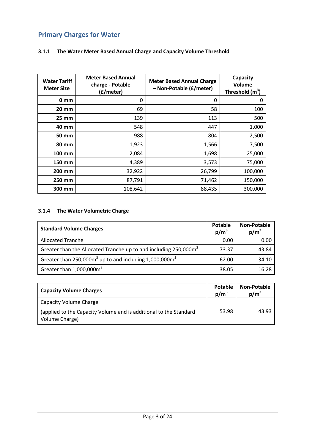## Primary Charges for Water

#### 3.1.1 The Water Meter Based Annual Charge and Capacity Volume Threshold

| <b>Water Tariff</b><br><b>Meter Size</b> | <b>Meter Based Annual</b><br>charge - Potable<br>(£/meter) | <b>Meter Based Annual Charge</b><br>- Non-Potable (£/meter) | Capacity<br>Volume<br>Threshold $(m^3)$ |
|------------------------------------------|------------------------------------------------------------|-------------------------------------------------------------|-----------------------------------------|
| 0 <sub>mm</sub>                          | 0                                                          | 0                                                           | 0                                       |
| $20 \, \text{mm}$                        | 69                                                         | 58                                                          | 100                                     |
| $25 \, \text{mm}$                        | 139                                                        | 113                                                         | 500                                     |
| 40 mm                                    | 548                                                        | 447                                                         | 1,000                                   |
| 50 mm                                    | 988                                                        | 804                                                         | 2,500                                   |
| 80 mm                                    | 1,923                                                      | 1,566                                                       | 7,500                                   |
| 100 mm                                   | 2,084                                                      | 1,698                                                       | 25,000                                  |
| 150 mm                                   | 4,389                                                      | 3,573                                                       | 75,000                                  |
| 200 mm                                   | 32,922                                                     | 26,799                                                      | 100,000                                 |
| 250 mm                                   | 87,791                                                     | 71,462                                                      | 150,000                                 |
| 300 mm                                   | 108,642                                                    | 88,435                                                      | 300,000                                 |

#### 3.1.4 The Water Volumetric Charge

| <b>Standard Volume Charges</b>                                               | Potable<br>$p/m^3$ | <b>Non-Potable</b><br>$p/m^3$ |
|------------------------------------------------------------------------------|--------------------|-------------------------------|
| <b>Allocated Tranche</b>                                                     | 0.00               | 0.00                          |
| Greater than the Allocated Tranche up to and including 250,000m <sup>3</sup> | 73.37              | 43.84                         |
| Greater than $250,000m^3$ up to and including 1,000,000 $m^3$                | 62.00              | 34.10                         |
| Greater than $1,000,000\text{m}^3$                                           | 38.05              | 16.28                         |

| <b>Capacity Volume Charges</b>                                                      | Potable<br>$p/m^3$ | <b>Non-Potable</b><br>$p/m^3$ |
|-------------------------------------------------------------------------------------|--------------------|-------------------------------|
| Capacity Volume Charge                                                              |                    |                               |
| (applied to the Capacity Volume and is additional to the Standard<br>Volume Charge) | 53.98              | 43.93                         |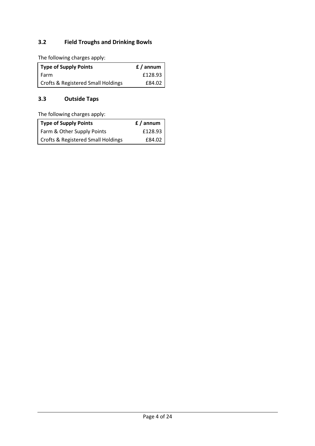## 3.2 Field Troughs and Drinking Bowls

The following charges apply:

| Type of Supply Points                         | f / annum |
|-----------------------------------------------|-----------|
| I Farm                                        | £128.93   |
| <b>Crofts &amp; Registered Small Holdings</b> | £84.02    |

#### 3.3 Outside Taps

The following charges apply:

| Type of Supply Points                         | f / annum |
|-----------------------------------------------|-----------|
| Farm & Other Supply Points                    | £128.93   |
| <b>Crofts &amp; Registered Small Holdings</b> | £84.02    |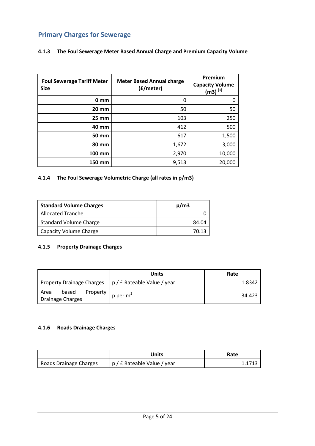## Primary Charges for Sewerage

#### 4.1.3 The Foul Sewerage Meter Based Annual Charge and Premium Capacity Volume

| <b>Foul Sewerage Tariff Meter</b><br><b>Size</b> | <b>Meter Based Annual charge</b><br>(£/meter) | Premium<br><b>Capacity Volume</b><br>$(m3)^{[1]}$ |
|--------------------------------------------------|-----------------------------------------------|---------------------------------------------------|
| 0 <sub>mm</sub>                                  | 0                                             | 0                                                 |
| <b>20 mm</b>                                     | 50                                            | 50                                                |
| <b>25 mm</b>                                     | 103                                           | 250                                               |
| 40 mm                                            | 412                                           | 500                                               |
| <b>50 mm</b>                                     | 617                                           | 1,500                                             |
| 80 mm                                            | 1,672                                         | 3,000                                             |
| 100 mm                                           | 2,970                                         | 10,000                                            |
| 150 mm                                           | 9,513                                         | 20,000                                            |

#### 4.1.4 The Foul Sewerage Volumetric Charge (all rates in p/m3)

| <b>Standard Volume Charges</b> | p/m3  |
|--------------------------------|-------|
| Allocated Tranche              |       |
| Standard Volume Charge         | 84.04 |
| Capacity Volume Charge         | 70.13 |

#### 4.1.5 Property Drainage Charges

|                                               | Units                       | Rate   |
|-----------------------------------------------|-----------------------------|--------|
| <b>Property Drainage Charges</b>              | p / £ Rateable Value / year | 1.8342 |
| Property<br>based<br>Area<br>Drainage Charges | p per $m2$                  | 34.423 |

#### 4.1.6 Roads Drainage Charges

|                        | Units                       | Rate |
|------------------------|-----------------------------|------|
| Roads Drainage Charges | p / £ Rateable Value / year |      |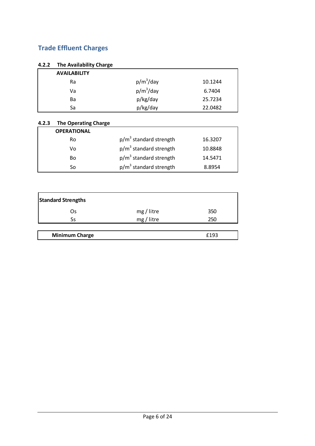## Trade Effluent Charges

#### 4.2.2 The Availability Charge

| <b>AVAILABILITY</b> |              |         |
|---------------------|--------------|---------|
| Ra                  | $p/m^3$ /day | 10.1244 |
| Va                  | $p/m^3$ /day | 6.7404  |
| Ba                  | p/kg/day     | 25.7234 |
| Sa                  | p/kg/day     | 22.0482 |

#### 4.2.3 The Operating Charge

| <b>OPERATIONAL</b> |                          |         |
|--------------------|--------------------------|---------|
| <b>Ro</b>          | $p/m3$ standard strength | 16.3207 |
| Vo                 | $p/m3$ standard strength | 10.8848 |
| Bo                 | $p/m3$ standard strength | 14.5471 |
| Sο                 | $p/m3$ standard strength | 8.8954  |

| <b>Standard Strengths</b> |            |      |  |  |
|---------------------------|------------|------|--|--|
| Os                        | mg / litre | 350  |  |  |
| Ss                        | mg/litre   | 250  |  |  |
|                           |            |      |  |  |
| <b>Minimum Charge</b>     |            | £193 |  |  |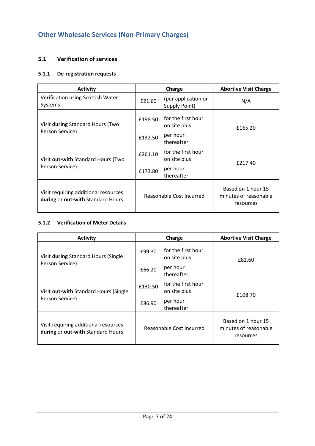## Other Wholesale Services (Non-Primary Charges)

#### 5.1 Verification of services

#### 5.1.1 De-registration requests

| <b>Activity</b>                                                           |                          | Charge                               | <b>Abortive Visit Charge</b>                             |  |
|---------------------------------------------------------------------------|--------------------------|--------------------------------------|----------------------------------------------------------|--|
| Verification using Scottish Water<br>Systems                              | £21.60                   | (per application or<br>Supply Point) | N/A                                                      |  |
| £198.50<br>Visit during Standard Hours (Two                               |                          | for the first hour<br>on site plus   | £165.20                                                  |  |
| Person Service)                                                           | £132.50                  | per hour<br>thereafter               |                                                          |  |
| Visit out-with Standard Hours (Two                                        | £261.10                  | for the first hour<br>on site plus   | £217.40                                                  |  |
| Person Service)                                                           | £173.80                  | per hour<br>thereafter               |                                                          |  |
| Visit requiring additional resources<br>during or out-with Standard Hours | Reasonable Cost Incurred |                                      | Based on 1 hour 15<br>minutes of reasonable<br>resources |  |

#### 5.1.2 Verification of Meter Details

| <b>Activity</b>                                                           |                          | Charge                             | <b>Abortive Visit Charge</b>                             |
|---------------------------------------------------------------------------|--------------------------|------------------------------------|----------------------------------------------------------|
| Visit during Standard Hours (Single                                       | £99.30                   | for the first hour<br>on site plus | £82.60                                                   |
| Person Service)                                                           | £66.20                   | per hour<br>thereafter             |                                                          |
| Visit out-with Standard Hours (Single                                     | £130.50                  | for the first hour<br>on site plus | £108.70                                                  |
| Person Service)                                                           | £86.90                   | per hour<br>thereafter             |                                                          |
| Visit requiring additional resources<br>during or out-with Standard Hours | Reasonable Cost Incurred |                                    | Based on 1 hour 15<br>minutes of reasonable<br>resources |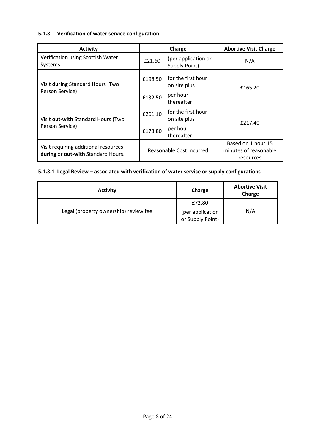#### 5.1.3 Verification of water service configuration

| <b>Activity</b>                                                             |                          | Charge                               | <b>Abortive Visit Charge</b>                             |  |
|-----------------------------------------------------------------------------|--------------------------|--------------------------------------|----------------------------------------------------------|--|
| Verification using Scottish Water<br>Systems                                | £21.60                   | (per application or<br>Supply Point) | N/A                                                      |  |
| Visit during Standard Hours (Two                                            | £198.50                  | for the first hour<br>on site plus   | £165.20                                                  |  |
| Person Service)                                                             | £132.50                  | per hour<br>thereafter               |                                                          |  |
| £261.10<br>Visit out-with Standard Hours (Two<br>Person Service)<br>£173.80 |                          | for the first hour<br>on site plus   | £217.40                                                  |  |
|                                                                             |                          | per hour<br>thereafter               |                                                          |  |
| Visit requiring additional resources<br>during or out-with Standard Hours.  | Reasonable Cost Incurred |                                      | Based on 1 hour 15<br>minutes of reasonable<br>resources |  |

## 5.1.3.1 Legal Review – associated with verification of water service or supply configurations

| <b>Activity</b>                       | Charge                               | <b>Abortive Visit</b><br>Charge |
|---------------------------------------|--------------------------------------|---------------------------------|
|                                       | £72.80                               |                                 |
| Legal (property ownership) review fee | (per application<br>or Supply Point) | N/A                             |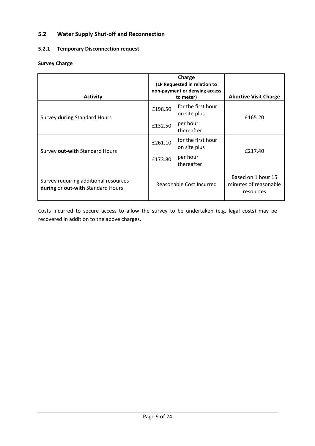## 5.2 Water Supply Shut-off and Reconnection

#### 5.2.1 Temporary Disconnection request

#### Survey Charge

| <b>Activity</b>                                                            |                          | Charge<br>(LP Requested in relation to<br>non-payment or denying access<br>to meter) | <b>Abortive Visit Charge</b>                             |
|----------------------------------------------------------------------------|--------------------------|--------------------------------------------------------------------------------------|----------------------------------------------------------|
| Survey during Standard Hours                                               | £198.50                  | for the first hour<br>on site plus                                                   | £165.20                                                  |
|                                                                            | £132.50                  | per hour<br>thereafter                                                               |                                                          |
| Survey out-with Standard Hours                                             | £261.10                  | for the first hour<br>on site plus                                                   | £217.40                                                  |
|                                                                            | £173.80                  | per hour<br>thereafter                                                               |                                                          |
| Survey requiring additional resources<br>during or out-with Standard Hours | Reasonable Cost Incurred |                                                                                      | Based on 1 hour 15<br>minutes of reasonable<br>resources |

Costs incurred to secure access to allow the survey to be undertaken (e.g. legal costs) may be recovered in addition to the above charges.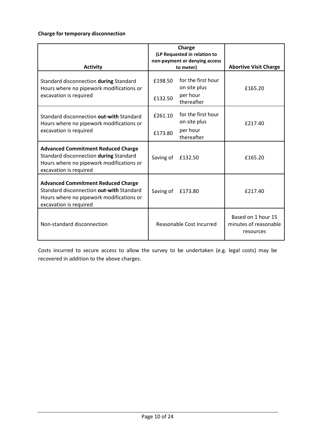#### Charge for temporary disconnection

| <b>Activity</b>                                                                                                                                             | Charge<br>(LP Requested in relation to<br>non-payment or denying access<br>to meter) | <b>Abortive Visit Charge</b>                             |
|-------------------------------------------------------------------------------------------------------------------------------------------------------------|--------------------------------------------------------------------------------------|----------------------------------------------------------|
| Standard disconnection during Standard<br>Hours where no pipework modifications or<br>excavation is required                                                | for the first hour<br>£198.50<br>on site plus<br>per hour<br>£132.50<br>thereafter   | £165.20                                                  |
| Standard disconnection out-with Standard<br>Hours where no pipework modifications or<br>excavation is required                                              | for the first hour<br>£261.10<br>on site plus<br>per hour<br>£173.80<br>thereafter   | £217.40                                                  |
| <b>Advanced Commitment Reduced Charge</b><br>Standard disconnection during Standard<br>Hours where no pipework modifications or<br>excavation is required   | Saving of<br>£132.50                                                                 | £165.20                                                  |
| <b>Advanced Commitment Reduced Charge</b><br>Standard disconnection out-with Standard<br>Hours where no pipework modifications or<br>excavation is required | Saving of<br>£173.80                                                                 | £217.40                                                  |
| Non-standard disconnection                                                                                                                                  | Reasonable Cost Incurred                                                             | Based on 1 hour 15<br>minutes of reasonable<br>resources |

Costs incurred to secure access to allow the survey to be undertaken (e.g. legal costs) may be recovered in addition to the above charges.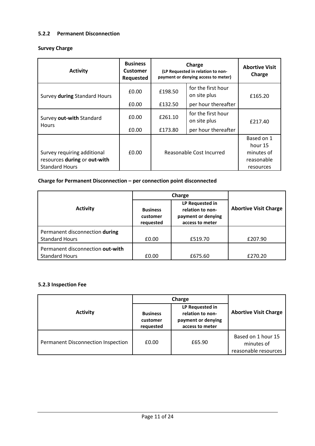#### 5.2.2 Permanent Disconnection

#### Survey Charge

| <b>Activity</b>                                                                      | <b>Business</b><br><b>Customer</b><br>Requested | Charge<br>(LP Requested in relation to non-<br>payment or denying access to meter) |                                    | <b>Abortive Visit</b><br>Charge                                |
|--------------------------------------------------------------------------------------|-------------------------------------------------|------------------------------------------------------------------------------------|------------------------------------|----------------------------------------------------------------|
| Survey during Standard Hours                                                         | £0.00                                           | £198.50                                                                            | for the first hour<br>on site plus | £165.20                                                        |
|                                                                                      | £0.00                                           | £132.50                                                                            | per hour thereafter                |                                                                |
| Survey out-with Standard<br><b>Hours</b>                                             | £0.00                                           | £261.10                                                                            | for the first hour<br>on site plus | £217.40                                                        |
|                                                                                      | £0.00                                           | £173.80                                                                            | per hour thereafter                |                                                                |
| Survey requiring additional<br>resources during or out-with<br><b>Standard Hours</b> | £0.00                                           | Reasonable Cost Incurred                                                           |                                    | Based on 1<br>hour 15<br>minutes of<br>reasonable<br>resources |

#### Charge for Permanent Disconnection – per connection point disconnected

| <b>Activity</b>                                           | <b>Business</b><br>customer<br>requested | LP Requested in<br>relation to non-<br>payment or denying<br>access to meter | <b>Abortive Visit Charge</b> |
|-----------------------------------------------------------|------------------------------------------|------------------------------------------------------------------------------|------------------------------|
| Permanent disconnection during                            |                                          |                                                                              |                              |
| <b>Standard Hours</b>                                     | £0.00                                    | £519.70                                                                      | £207.90                      |
| Permanent disconnection out-with<br><b>Standard Hours</b> | £0.00                                    | £675.60                                                                      | £270.20                      |

#### 5.2.3 Inspection Fee

|                                    |                                          | Charge                                                                       |                                                          |
|------------------------------------|------------------------------------------|------------------------------------------------------------------------------|----------------------------------------------------------|
| <b>Activity</b>                    | <b>Business</b><br>customer<br>requested | LP Requested in<br>relation to non-<br>payment or denying<br>access to meter | <b>Abortive Visit Charge</b>                             |
| Permanent Disconnection Inspection | £0.00                                    | £65.90                                                                       | Based on 1 hour 15<br>minutes of<br>reasonable resources |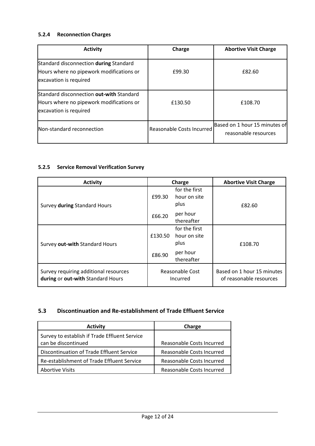#### 5.2.4 Reconnection Charges

| <b>Activity</b>                                                                                                | Charge                    | <b>Abortive Visit Charge</b>                          |
|----------------------------------------------------------------------------------------------------------------|---------------------------|-------------------------------------------------------|
| Standard disconnection during Standard<br>Hours where no pipework modifications or<br>excavation is required   | £99.30                    | £82.60                                                |
| Standard disconnection out-with Standard<br>Hours where no pipework modifications or<br>excavation is required | £130.50                   | £108.70                                               |
| Non-standard reconnection                                                                                      | Reasonable Costs Incurred | Based on 1 hour 15 minutes of<br>reasonable resources |

## 5.2.5 Service Removal Verification Survey

| <b>Activity</b>                                                            | Charge                      |                                       | <b>Abortive Visit Charge</b>                          |
|----------------------------------------------------------------------------|-----------------------------|---------------------------------------|-------------------------------------------------------|
| Survey during Standard Hours                                               | £99.30                      | for the first<br>hour on site<br>plus | £82.60                                                |
|                                                                            | £66.20                      | per hour<br>thereafter                |                                                       |
| Survey out-with Standard Hours                                             | £130.50                     | for the first<br>hour on site<br>plus | £108.70                                               |
|                                                                            | £86.90                      | per hour<br>thereafter                |                                                       |
| Survey requiring additional resources<br>during or out-with Standard Hours | Reasonable Cost<br>Incurred |                                       | Based on 1 hour 15 minutes<br>of reasonable resources |

#### 5.3 Discontinuation and Re-establishment of Trade Effluent Service

| <b>Activity</b>                               | Charge                    |
|-----------------------------------------------|---------------------------|
| Survey to establish if Trade Effluent Service |                           |
| can be discontinued                           | Reasonable Costs Incurred |
| Discontinuation of Trade Effluent Service     | Reasonable Costs Incurred |
| Re-establishment of Trade Effluent Service    | Reasonable Costs Incurred |
| <b>Abortive Visits</b>                        | Reasonable Costs Incurred |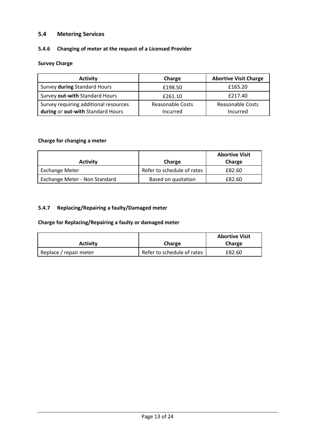#### 5.4 Metering Services

#### 5.4.6 Changing of meter at the request of a Licensed Provider

#### Survey Charge

| <b>Activity</b>                                                            | Charge                              | <b>Abortive Visit Charge</b>        |
|----------------------------------------------------------------------------|-------------------------------------|-------------------------------------|
| Survey during Standard Hours                                               | £198.50                             | £165.20                             |
| Survey out-with Standard Hours                                             | £261.10                             | £217.40                             |
| Survey requiring additional resources<br>during or out-with Standard Hours | <b>Reasonable Costs</b><br>Incurred | <b>Reasonable Costs</b><br>Incurred |

#### Charge for changing a meter

| <b>Activity</b>                      | Charge                     | <b>Abortive Visit</b><br>Charge |
|--------------------------------------|----------------------------|---------------------------------|
| <b>Exchange Meter</b>                | Refer to schedule of rates | £82.60                          |
| <b>Exchange Meter - Non Standard</b> | Based on quotation         | £82.60                          |

## 5.4.7 Replacing/Repairing a faulty/Damaged meter

#### Charge for Replacing/Repairing a faulty or damaged meter

|                        |                            | <b>Abortive Visit</b> |
|------------------------|----------------------------|-----------------------|
| <b>Activity</b>        | Charge                     | Charge                |
| Replace / repair meter | Refer to schedule of rates | £82.60                |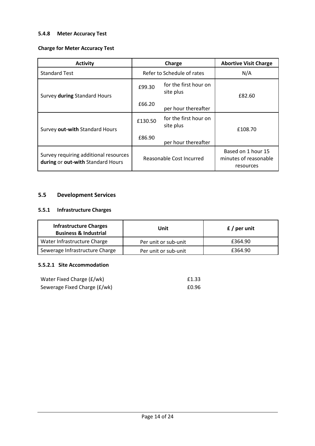#### 5.4.8 Meter Accuracy Test

#### Charge for Meter Accuracy Test

| <b>Activity</b>                                                            | Charge                   |                                    | <b>Abortive Visit Charge</b>                             |
|----------------------------------------------------------------------------|--------------------------|------------------------------------|----------------------------------------------------------|
| <b>Standard Test</b>                                                       |                          | Refer to Schedule of rates         | N/A                                                      |
| Survey during Standard Hours                                               | £99.30                   | for the first hour on<br>site plus | £82.60                                                   |
|                                                                            | £66.20                   | per hour thereafter                |                                                          |
| Survey out-with Standard Hours                                             | £130.50                  | for the first hour on<br>site plus | £108.70                                                  |
|                                                                            | £86.90                   | per hour thereafter                |                                                          |
| Survey requiring additional resources<br>during or out-with Standard Hours | Reasonable Cost Incurred |                                    | Based on 1 hour 15<br>minutes of reasonable<br>resources |

#### 5.5 Development Services

#### 5.5.1 Infrastructure Charges

| <b>Infrastructure Charges</b><br><b>Business &amp; Industrial</b> | Unit                 | $f /$ per unit |
|-------------------------------------------------------------------|----------------------|----------------|
| Water Infrastructure Charge                                       | Per unit or sub-unit | £364.90        |
| Sewerage Infrastructure Charge                                    | Per unit or sub-unit | £364.90        |

#### 5.5.2.1 Site Accommodation

| Water Fixed Charge (£/wk)    | £1.33 |
|------------------------------|-------|
| Sewerage Fixed Charge (£/wk) | £0.96 |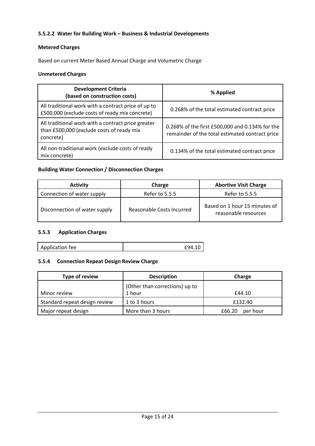#### 5.5.2.2 Water for Building Work – Business & Industrial Developments

## Metered Charges

Based on current Meter Based Annual Charge and Volumetric Charge

#### Unmetered Charges

| <b>Development Criteria</b><br>(based on construction costs)                                                 | % Applied                                                                                          |
|--------------------------------------------------------------------------------------------------------------|----------------------------------------------------------------------------------------------------|
| All traditional work with a contract price of up to<br>£500,000 (exclude costs of ready mix concrete)        | 0.268% of the total estimated contract price                                                       |
| All traditional work with a contract price greater<br>than £500,000 (exclude costs of ready mix<br>concrete) | 0.268% of the first £500,000 and 0.134% for the<br>remainder of the total estimated contract price |
| All non-traditional work (exclude costs of ready<br>mix concrete)                                            | 0.134% of the total estimated contract price                                                       |

#### Building Water Connection / Disconnection Charges

| <b>Activity</b>               | Charge                    | <b>Abortive Visit Charge</b>                          |
|-------------------------------|---------------------------|-------------------------------------------------------|
| Connection of water supply    | Refer to 5.5.5            | Refer to 5.5.5                                        |
| Disconnection of water supply | Reasonable Costs Incurred | Based on 1 hour 15 minutes of<br>reasonable resources |

#### 5.5.3 Application Charges

| Application fee | £94.10 |
|-----------------|--------|
|                 |        |

#### 5.5.4 Connection Repeat Design Review Charge

| Type of review                | <b>Description</b>             | Charge             |
|-------------------------------|--------------------------------|--------------------|
|                               | (Other than corrections) up to |                    |
| Minor review                  | 1 hour                         | £44.10             |
| Standard repeat design review | 1 to 3 hours                   | £132.40            |
| Major repeat design           | More than 3 hours              | per hour<br>£66.20 |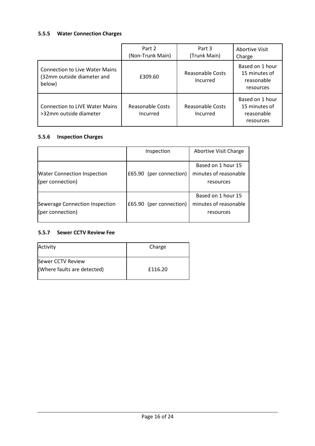#### 5.5.5 Water Connection Charges

|                                                                               | Part 2<br>(Non-Trunk Main)   | Part 3<br>(Trunk Main)              | Abortive Visit<br>Charge                                    |
|-------------------------------------------------------------------------------|------------------------------|-------------------------------------|-------------------------------------------------------------|
| <b>Connection to Live Water Mains</b><br>(32mm outside diameter and<br>below) | £309.60                      | Reasonable Costs<br>Incurred        | Based on 1 hour<br>15 minutes of<br>reasonable<br>resources |
| <b>Connection to LIVE Water Mains</b><br>>32mm outside diameter               | Reasonable Costs<br>Incurred | <b>Reasonable Costs</b><br>Incurred | Based on 1 hour<br>15 minutes of<br>reasonable<br>resources |

#### 5.5.6 Inspection Charges

|                                                        | Inspection              | Abortive Visit Charge                                    |
|--------------------------------------------------------|-------------------------|----------------------------------------------------------|
| <b>Water Connection Inspection</b><br>(per connection) | £65.90 (per connection) | Based on 1 hour 15<br>minutes of reasonable<br>resources |
| Sewerage Connection Inspection<br>(per connection)     | £65.90 (per connection) | Based on 1 hour 15<br>minutes of reasonable<br>resources |

#### 5.5.7 Sewer CCTV Review Fee

| Activity                                         | Charge  |
|--------------------------------------------------|---------|
| Sewer CCTV Review<br>(Where faults are detected) | £116.20 |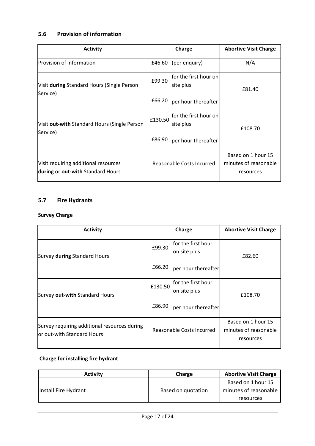## 5.6 Provision of information

| <b>Activity</b>                                                           | Charge                                        | <b>Abortive Visit Charge</b>                             |
|---------------------------------------------------------------------------|-----------------------------------------------|----------------------------------------------------------|
| Provision of information                                                  | $£46.60$ (per enquiry)                        | N/A                                                      |
| Visit during Standard Hours (Single Person<br>Service)                    | for the first hour on<br>£99.30<br>site plus  | £81.40                                                   |
|                                                                           | £66.20<br>per hour thereafter                 |                                                          |
| Visit out-with Standard Hours (Single Person<br>Service)                  | for the first hour on<br>£130.50<br>site plus | £108.70                                                  |
|                                                                           | £86.90<br>per hour thereafter                 |                                                          |
| Visit requiring additional resources<br>during or out-with Standard Hours | Reasonable Costs Incurred                     | Based on 1 hour 15<br>minutes of reasonable<br>resources |

#### 5.7 Fire Hydrants

#### Survey Charge

| <b>Activity</b>                                                            | Charge                                        | <b>Abortive Visit Charge</b>                             |
|----------------------------------------------------------------------------|-----------------------------------------------|----------------------------------------------------------|
| Survey during Standard Hours                                               | for the first hour<br>£99.30<br>on site plus  | £82.60                                                   |
|                                                                            | £66.20<br>per hour thereafter                 |                                                          |
| Survey out-with Standard Hours                                             | for the first hour<br>£130.50<br>on site plus | £108.70                                                  |
|                                                                            | £86.90<br>per hour thereafter                 |                                                          |
| Survey requiring additional resources during<br>or out-with Standard Hours | Reasonable Costs Incurred                     | Based on 1 hour 15<br>minutes of reasonable<br>resources |

#### Charge for installing fire hydrant

| <b>Activity</b>      | Charge             | <b>Abortive Visit Charge</b>                |
|----------------------|--------------------|---------------------------------------------|
| Install Fire Hydrant | Based on quotation | Based on 1 hour 15<br>minutes of reasonable |
|                      |                    | resources                                   |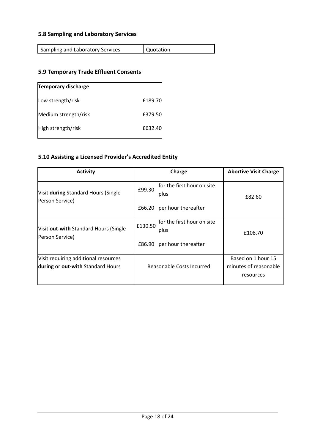#### 5.8 Sampling and Laboratory Services

| Sampling and Laboratory Services | Quotation |
|----------------------------------|-----------|

#### 5.9 Temporary Trade Effluent Consents

| <b>Temporary discharge</b> |         |
|----------------------------|---------|
| Low strength/risk          | £189.70 |
| Medium strength/risk       | £379.50 |
| High strength/risk         | £632.40 |

#### 5.10 Assisting a Licensed Provider's Accredited Entity

| <b>Activity</b>                                                           | Charge                                        | <b>Abortive Visit Charge</b>                             |
|---------------------------------------------------------------------------|-----------------------------------------------|----------------------------------------------------------|
| Visit during Standard Hours (Single<br>Person Service)                    | for the first hour on site<br>£99.30<br>plus  | £82.60                                                   |
|                                                                           | per hour thereafter<br>£66.20                 |                                                          |
| Visit out-with Standard Hours (Single<br>Person Service)                  | for the first hour on site<br>£130.50<br>plus | £108.70                                                  |
|                                                                           | per hour thereafter<br>£86.90                 |                                                          |
| Visit requiring additional resources<br>during or out-with Standard Hours | Reasonable Costs Incurred                     | Based on 1 hour 15<br>minutes of reasonable<br>resources |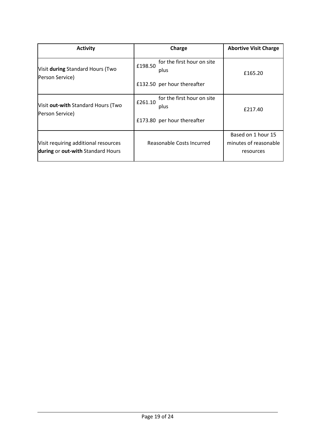| <b>Activity</b>                                                           | Charge                                                                       | <b>Abortive Visit Charge</b>                             |
|---------------------------------------------------------------------------|------------------------------------------------------------------------------|----------------------------------------------------------|
| Visit during Standard Hours (Two<br>Person Service)                       | for the first hour on site<br>£198.50<br>plus                                | £165.20                                                  |
|                                                                           | £132.50 per hour thereafter                                                  |                                                          |
| Visit out-with Standard Hours (Two<br>Person Service)                     | for the first hour on site<br>£261.10<br>plus<br>£173.80 per hour thereafter | £217.40                                                  |
| Visit requiring additional resources<br>during or out-with Standard Hours | Reasonable Costs Incurred                                                    | Based on 1 hour 15<br>minutes of reasonable<br>resources |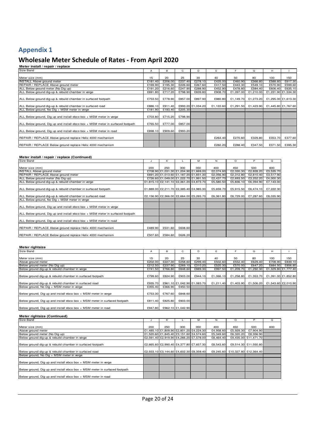#### Wholesale Meter Schedule of Rates - From April 2020

| Meter install / repair / replace                                               |                |         |         |                   |           |           |                     |                     |                     |
|--------------------------------------------------------------------------------|----------------|---------|---------|-------------------|-----------|-----------|---------------------|---------------------|---------------------|
| Size Band                                                                      | $\overline{A}$ | в       | C       | D                 | E         | F.        | G                   | H                   |                     |
|                                                                                |                |         |         |                   |           |           |                     |                     |                     |
| Meter size (mm)                                                                | 15             | 20      | 25      | 30                | 40        | 50        | 80                  | 100                 | 150                 |
| <b>INSTALL Above ground meter</b>                                              | £181.40        | £206.00 | £237.40 | £278.10           | £435.00   | £460.90   | £566.80             | £588.60             | £617.30             |
| REPAIR / REPLACE Above ground meter                                            | £169.90        | £195.30 | £226.60 | £267.60           | £417.50   | £443.30   | £549.10             | £570.90             | £599.60             |
| ALL Below ground meter (No Dig up)                                             | £191.20        | £216.60 | £247.90 | £288.90           | £452.90   | £478.80   | £584.40             | £606.40             | £635.10             |
| ALL Below ground dig-up & rebuild chamber in verge                             | £691.80        | £717.20 | £798.90 | £839.80           | £908.70   | £1,097.00 | £1,210.00           |                     | £1,231.90 £1,534.30 |
| ALL Below ground dig-up & rebuild chamber in surfaced footpath                 | £753.50        | £778.90 | £857.00 | £897.90           | £980.80   | £1,149.70 | £1,273.20           |                     | £1,295.00 £1,613.30 |
| ALL Below ground dig-up & rebuild chamber in surfaced road                     | £886.10        | £911.40 |         | £993.20 £1,034.20 | £1.122.60 |           | £1,291.50 £1,423.90 | £1,445.80 £1,767.60 |                     |
| ALL Below ground, No Dig + MSM meter in verge                                  | £181.90        | £193.40 | £205.30 |                   |           |           |                     |                     |                     |
| ALL Below ground, Dig up and install ebco box + MSM meter in verge             | £703.80        | £715.20 | £798.90 |                   |           |           |                     |                     |                     |
| ALL Below ground, Dig up and install ebco box + MSM meter in surfaced footpath | £765.50        | £777.00 | £857.00 |                   |           |           |                     |                     |                     |
| ALL Below ground, Dig up and install ebco box + MSM meter in road              | £898.10        | £909.60 | £993.20 |                   |           |           |                     |                     |                     |
| REPAIR / REPLACE Above ground replace Helix 4000 mechanism                     |                |         |         |                   | £264.40   | £270.60   | £329.80             | £353.70             | £377.60             |
| REPAIR / REPLACE Below ground replace Helix 4000 mechanism                     |                |         |         |                   | £282.20   | £288.40   | £347.50             | £371.50             | £395.30             |

#### **Meter install / repair / replace (Continued)**

| Size Band                                                                      |         | ĸ       |         | м                                       | N         | $\circ$   | P         | Q         |
|--------------------------------------------------------------------------------|---------|---------|---------|-----------------------------------------|-----------|-----------|-----------|-----------|
|                                                                                |         |         |         |                                         |           |           |           |           |
| Meter size (mm)                                                                | 200     | 250     | 300     | 350                                     | 400       | 450       | 500       | 600       |
| <b>INSTALL Above ground meter</b>                                              |         |         |         | £708.90 £1,031.30 £1,204.90 £1,669.00   | £2.074.60 | £2,330.30 | £2.828.20 | £3,535.70 |
| REPAIR / REPLACE Above ground meter                                            |         |         |         | £691.20 £1,013.60 £1,187.20 £1,651.30   | £2,056.90 | £2,312.80 | £2,810.40 | £3,517.90 |
| ALL Below ground meter (No Dig up)                                             |         |         |         | £726.60 £1,049.00 £1,222.70 £1,991.50   | £2,437.70 | £2,693.50 | £3,252.20 | £4,000.30 |
| ALL Below ground dig-up & rebuild chamber in verge                             |         |         |         | £1,815.10 £2,141.10 £2,361.20 £4,873.70 | £5,580.50 | £5,836.10 | £6,394.90 | £7,143.00 |
|                                                                                |         |         |         |                                         |           |           |           |           |
| ALL Below ground dig-up & rebuild chamber in surfaced footpath                 |         |         |         | £1,889.00 £2,211.70 £2,385.40 £4,985.30 | £5,659.70 | £5,915.50 | £6,474.10 | £7,222.30 |
|                                                                                |         |         |         |                                         |           |           |           |           |
| ALL Below ground dig-up & rebuild chamber in surfaced road                     |         |         |         | £2,156.90 £2,366.00 £2,664.00 £5,265.70 | £6,361.80 | £6,729.00 | £7,287.60 | £8,035.90 |
| ALL Below ground, No Dig + MSM meter in verge                                  |         |         |         |                                         |           |           |           |           |
|                                                                                |         |         |         |                                         |           |           |           |           |
| ALL Below ground, Dig up and install ebco box + MSM meter in verge             |         |         |         |                                         |           |           |           |           |
|                                                                                |         |         |         |                                         |           |           |           |           |
| ALL Below ground, Dig up and install ebco box + MSM meter in surfaced footpath |         |         |         |                                         |           |           |           |           |
|                                                                                |         |         |         |                                         |           |           |           |           |
| ALL Below ground, Dig up and install ebco box + MSM meter in road              |         |         |         |                                         |           |           |           |           |
|                                                                                |         |         |         |                                         |           |           |           |           |
| REPAIR / REPLACE Above ground replace Helix 4000 mechanism                     | £489.90 | £531.60 | £608.60 |                                         |           |           |           |           |
|                                                                                |         |         |         |                                         |           |           |           |           |
| REPAIR / REPLACE Below ground replace Helix 4000 mechanism                     | £507.60 | £584.60 | £626.20 |                                         |           |           |           |           |

| Meter rightsize                                                            |         |         |                   |                             |           |           |                     |         |                     |
|----------------------------------------------------------------------------|---------|---------|-------------------|-----------------------------|-----------|-----------|---------------------|---------|---------------------|
| Size Band                                                                  | A       | в       | C                 | D                           |           |           | G                   | н       |                     |
|                                                                            |         |         |                   |                             |           |           |                     |         |                     |
| Meter size (mm)                                                            | 15      | 20      | 25                | 30                          | 40        | 50        | 80                  | 100     | 150                 |
| Above ground meter                                                         | £202.00 | £227.30 | £258.60           | £299.40                     | £502.60   | £552.40   | £629.40             | £708.90 | £839.10             |
| Below ground meter (No Dig up)                                             | £212.50 | £237.90 | £269.10           | E310.20                     | £520.30   | £570.00   | £647.20             | £684.50 | £856.80             |
| Below ground dig-up & rebuild chamber in verge                             | £741.50 | £766.80 | £848.60           | £889.30                     | £997.50   | £1,209.70 | £1.292.30           |         | £1,329.80 £1,777.40 |
| Below ground dig-up & rebuild chamber in surfaced footpath                 | £799.60 | £824.90 | £903.00           | £944.10                     | £1.066.10 | £1.258.80 | £1.353.70           |         | £1,391.00 £1,852.80 |
|                                                                            |         |         |                   |                             |           |           |                     |         |                     |
| Below ground dig-up & rebuild chamber in surfaced road                     | £935.70 |         |                   | £961.10 £1,042.90 £1,083.70 | £1.211.40 |           | £1,403.90 £1,506.20 |         | £1,543.60 £2,010.90 |
| Below ground, No Dig + MSM meter in verge                                  | £355.40 | £366.90 | £450.50           |                             |           |           |                     |         |                     |
| Below ground, Dig up and install ebco box + MSM meter in verge             | £753.30 | £767.60 | £848.60           |                             |           |           |                     |         |                     |
| Below ground, Dig up and install ebco box + MSM meter in surfaced footpath | £811.40 | £825.80 | £903.00           |                             |           |           |                     |         |                     |
| Below ground, Dig up and install ebco box + MSM meter in road              | £947.80 |         | £962.10 £1,042.90 |                             |           |           |                     |         |                     |

#### **Meter rightsize (Continued)**

| Size Band                                                                  |     | ĸ   |     | м                                       | N         | $\circ$                         | P                    | $\Omega$ |
|----------------------------------------------------------------------------|-----|-----|-----|-----------------------------------------|-----------|---------------------------------|----------------------|----------|
|                                                                            |     |     |     |                                         |           |                                 |                      |          |
| Meter size (mm)                                                            | 200 | 250 | 300 | 350                                     | 400       | 450                             | 500                  | 600      |
| Above ground meter                                                         |     |     |     | £1,485.10 £1,809.90 £2,801.20 £4,224.30 | £4.958.60 | £5,929.30                       | £7,904.90            |          |
| Below ground meter (No Dig up)                                             |     |     |     | £1,520.60 £1,845.40 £3,151.60 £4,574.60 | £5.349.60 | £6,320.20                       | £8.356.90            |          |
| Below ground dig-up & rebuild chamber in verge                             |     |     |     | £2.591.40 £2.919.90 £4.266.20 £7.578.00 | £8,464.40 |                                 | £9.435.00 £11.471.70 |          |
|                                                                            |     |     |     |                                         |           |                                 |                      |          |
| Below ground dig-up & rebuild chamber in surfaced footpath                 |     |     |     | £2,665.60 £2,990.40 £4,377.80 £7,657.30 | £8,543.60 |                                 | £9.514.30 £11.550.80 |          |
|                                                                            |     |     |     |                                         |           |                                 |                      |          |
| Below ground dig-up & rebuild chamber in surfaced road                     |     |     |     | £2,933.10 £3,144.60 £4,602.30 £8,359.40 |           | £9.245.60 £10.327.80 £12.364.40 |                      |          |
| Below ground, No Dig + MSM meter in verge                                  |     |     |     |                                         |           |                                 |                      |          |
|                                                                            |     |     |     |                                         |           |                                 |                      |          |
| Below ground, Dig up and install ebco box + MSM meter in verge             |     |     |     |                                         |           |                                 |                      |          |
|                                                                            |     |     |     |                                         |           |                                 |                      |          |
| Below ground, Dig up and install ebco box + MSM meter in surfaced footpath |     |     |     |                                         |           |                                 |                      |          |
|                                                                            |     |     |     |                                         |           |                                 |                      |          |
| Below ground, Dig up and install ebco box + MSM meter in road              |     |     |     |                                         |           |                                 |                      |          |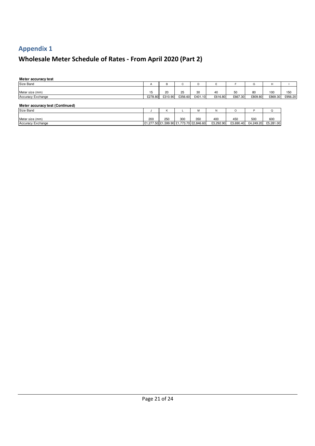# Wholesale Meter Schedule of Rates - From April 2020 (Part 2)

| Meter accuracy test             |              |         |         |                                         |           |           |           |           |         |
|---------------------------------|--------------|---------|---------|-----------------------------------------|-----------|-----------|-----------|-----------|---------|
| Size Band                       | $\mathsf{A}$ | B       | ⌒<br>◡  | D                                       |           |           | G         | H         |         |
| Meter size (mm)                 | 15           | 20      | 25      | 30                                      | 40        | 50        | 80        | 100       | 150     |
| Accuracy Exchange               | £278.80      | £310.90 | £356.60 | £401.10                                 | £616.80   | £667.30   | £809.80   | £869.30   | £956.20 |
| Meter accuracy test (Continued) |              |         |         |                                         |           |           |           |           |         |
| Size Band                       |              | n       |         | М                                       | N         | O         |           | Q         |         |
| Meter size (mm)                 | 200          | 250     | 300     | 350                                     | 400       | 450       | 500       | 600       |         |
| <b>Accuracy Exchange</b>        |              |         |         | £1,277.50 £1,599.90 £1,773.70 £2,846.60 | £3,292.90 | £3,690.40 | £4,249.20 | £5,281.00 |         |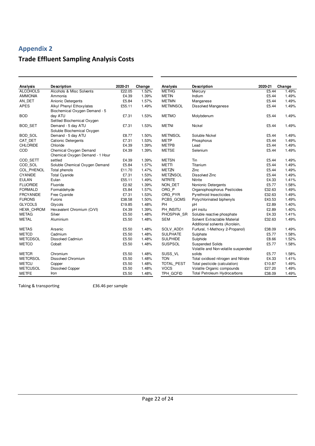## Trade Effluent Sampling Analysis Costs

| Analysis          | <b>Description</b>              | 2020-21 | Change | Analysis          | <b>Description</b>                  | 2020-21 | Change |
|-------------------|---------------------------------|---------|--------|-------------------|-------------------------------------|---------|--------|
| <b>ALCOHOLS</b>   | Alcohols & Misc Solvents        | £22.05  | 1.52%  | <b>METHG</b>      | Mercury                             | £5.44   | 1.49%  |
| <b>AMMONIA</b>    | Ammonia                         | £4.39   | 1.39%  | <b>METIN</b>      | Indium                              | £5.44   | 1.49%  |
| AN DET            | Anionic Detergents              | £5.84   | 1.57%  | <b>METMN</b>      | Manganese                           | £5.44   | 1.49%  |
| <b>APES</b>       | <b>Alkyl Phenyl Ethoxylates</b> | £55.11  | 1.49%  | <b>METMNSOL</b>   | Dissolved Manganese                 | £5.44   | 1.49%  |
|                   | Biochemical Oxygen Demand - 5   |         |        |                   |                                     |         |        |
| <b>BOD</b>        | day ATU                         | £7.31   | 1.53%  | <b>METMO</b>      | Molybdenum                          | £5.44   | 1.49%  |
|                   | Settled Biochemical Oxygen      |         |        |                   |                                     |         |        |
| <b>BOD SET</b>    | Demand - 5 day ATU              | £7.31   | 1.53%  | <b>METNI</b>      | <b>Nickel</b>                       | £5.44   | 1.49%  |
|                   | Soluble Biochemical Oxygen      |         |        |                   |                                     |         |        |
| <b>BOD SOL</b>    | Demand - 5 day ATU              | £8.77   | 1.50%  | <b>METNISOL</b>   | Soluble Nickel                      | £5.44   | 1.49%  |
| CAT DET           | <b>Cationic Detergents</b>      | £7.31   | 1.53%  | <b>METP</b>       | Phosphorus                          | £5.44   | 1.49%  |
| <b>CHLORIDE</b>   | Chloride                        | £4.39   | 1.39%  | <b>METPB</b>      | Lead                                | £5.44   | 1.49%  |
| COD               | Chemical Oxygen Demand          | £4.39   | 1.39%  | <b>METSE</b>      | Selenium                            | £5.44   | 1.49%  |
|                   | Chemical Oxygen Demand - 1 Hour |         |        |                   |                                     |         |        |
| COD SETT          | settled                         | £4.39   | 1.39%  | <b>METSN</b>      | Tin                                 | £5.44   | 1.49%  |
| COD SOL           | Soluble Chemical Oxygen Demand  | £5.84   | 1.57%  | <b>METTI</b>      | Titanium                            | £5.44   | 1.49%  |
| <b>COL PHENOL</b> | Total phenols                   | £11.70  | 1.47%  | <b>METZN</b>      | Zinc                                | £5.44   | 1.49%  |
| <b>CYANIDE</b>    | <b>Total Cyanide</b>            | £7.31   | 1.53%  | <b>METZNSOL</b>   | Dissolved Zinc                      | £5.44   | 1.49%  |
| <b>EULAN</b>      | Eulan                           | £55.11  | 1.49%  | <b>NITRITE</b>    | Nitrite                             | £4.33   | 1.41%  |
| <b>FLUORIDE</b>   | Fluoride                        | £2.92   | 1.39%  | NON DET           | Nonionic Detergents                 | £5.77   | 1.58%  |
| <b>FORMALD</b>    | Formaldehyde                    | £5.84   | 1.57%  | ORG P             | Organophosphorus Pesticides         | £32.63  | 1.49%  |
| <b>FRCYANIDE</b>  | Free Cyanide                    | £7.31   | 1.53%  | ORG PYR           | Pyrethroid Insecticides             | £32.63  | 1.49%  |
| <b>FURONS</b>     | Furons                          | £38.58  | 1.50%  | PCBS GCMS         | Polychlorinated biphenyls           | £43.53  | 1.49%  |
| <b>GLYCOLS</b>    | Glycols                         | £19.85  | 1.48%  | PH                | pH                                  | £2.89   | 1.40%  |
| <b>HEXA CHROM</b> | Hexavalent Chromium (CrVI)      | £4.39   | 1.39%  | PH INSITU         | pH insitu                           | £2.89   | 1.40%  |
| <b>METAG</b>      | Silver                          | £5.50   | 1.48%  | PHOSPHA SR        | Soluble reactive phosphate          | £4.33   | 1.41%  |
| <b>METAL</b>      | Aluminium                       | £5.50   | 1.48%  | SEM               | Solvent Extractable Material        | £32.63  | 1.49%  |
|                   |                                 |         |        |                   | Additional solvents (Acrolein,      |         |        |
| <b>METAS</b>      | Arsenic                         | £5.50   | 1.48%  | SOLV ADD1         | Furfural, 1-Methoxy 2-Propanol)     | £38.09  | 1.49%  |
| <b>METCD</b>      | Cadmium                         | £5.50   | 1.48%  | <b>SULPHATE</b>   | Sulphate                            | £5.77   | 1.58%  |
| <b>METCDSOL</b>   | <b>Dissolved Cadmiun</b>        | £5.50   | 1.48%  | <b>SULPHIDE</b>   | Sulphide                            | £8.66   | 1.52%  |
| <b>METCO</b>      | Cobalt                          | £5.50   | 1.48%  | <b>SUSPSOL</b>    | <b>Suspended Solids</b>             | £5.77   | 1.58%  |
|                   |                                 |         |        |                   | Volatile and Non-volatile suspended |         |        |
| <b>METCR</b>      | Chromium                        | £5.50   | 1.48%  | SUSS_VL           | solids                              | £5.77   | 1.58%  |
| <b>METCRSOL</b>   | <b>Dissolved Chromium</b>       | £5.50   | 1.48%  | <b>TON</b>        | Total oxidised nitrogen and Nitrate | £4.33   | 1.41%  |
| <b>METCU</b>      | Copper                          | £5.50   | 1.48%  | <b>TOTAL PEST</b> | Total pesticide (calculation)       | £10.87  | 1.49%  |
| <b>METCUSOL</b>   | <b>Dissolved Copper</b>         | £5.50   | 1.48%  | <b>VOCS</b>       | Volatile Organic compounds          | £27.20  | 1.49%  |
| <b>METFE</b>      | Iron                            | £5.50   | 1.48%  | TPH GCFID         | <b>Total Petroleum Hydrocarbons</b> | £38.09  | 1.49%  |

Taking & transporting E36.46 per sample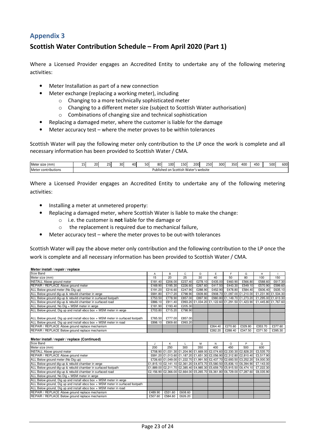## Scottish Water Contribution Schedule – From April 2020 (Part 1)

Where a Licensed Provider engages an Accredited Entity to undertake any of the following metering activities:

- Meter Installation as part of a new connection
- Meter exchange (replacing a working meter), including
	- o Changing to a more technically sophisticated meter
		- o Changing to a different meter size (subject to Scottish Water authorisation)
		- o Combinations of changing size and technical sophistication
- Replacing a damaged meter, where the customer is liable for the damage
- Meter accuracy test where the meter proves to be within tolerances

Scottish Water will pay the following meter only contribution to the LP once the work is complete and all necessary information has been provided to Scottish Water / CMA.

| 'mm<br>Matar<br>$\sim$<br>size<br><b>INICICI</b> | 20 | $\sim$<br>-- | 30 | 40 | 50 | 80           | 100 | 1.501<br>י טכב                   | 200      | 250       | 300 | 350l | 400 | 450 | 500 | 600 |
|--------------------------------------------------|----|--------------|----|----|----|--------------|-----|----------------------------------|----------|-----------|-----|------|-----|-----|-----|-----|
| contributions <sup>.</sup><br>Meter              |    |              |    |    |    | Published on |     | $\ddot{\phantom{0}}$<br>Scottish | ı Water' | s website |     |      |     |     |     |     |

Where a Licensed Provider engages an Accredited Entity to undertake any of the following metering activities:

- Installing a meter at unmetered property:
- Replacing a damaged meter, where Scottish Water is liable to make the change:
	- $\circ$  i.e. the customer is **not** liable for the damage or
		- o the replacement is required due to mechanical failure,
- Meter accuracy test where the meter proves to be out-with tolerances

Scottish Water will pay the above meter only contribution and the following contribution to the LP once the work is complete and all necessary information has been provided to Scottish Water / CMA.

**Meter install / repair / replace** 

| Size Band                                                                      | A       | B       | С       | D       | E       |         | G                           | н                                                                   |         |
|--------------------------------------------------------------------------------|---------|---------|---------|---------|---------|---------|-----------------------------|---------------------------------------------------------------------|---------|
| Meter size (mm)                                                                | 15      | 20      | 25      | 30      | 40      | 50      | 80                          | 100                                                                 | 150     |
| <b>INSTALL Above ground meter</b>                                              | £181.40 | £206.00 | £237.40 | £278.10 | £435.00 | £460.90 | £566.80                     | £588.60                                                             | £617.30 |
| REPAIR / REPLACE Above ground meter                                            | £169.90 | £195.30 | £226.60 | £267.60 | £417.50 | £443.30 | £549.10                     | £570.90                                                             | £599.60 |
| ALL Below ground meter (No Dig up)                                             | £191.20 | £216.60 | £247.90 | £288.90 | £452.90 | £478.80 | £584.40                     | £606.40                                                             | £635.10 |
| ALL Below ground dig-up & rebuild chamber in verge                             | £691.80 | £717.20 | £798.90 | £839.80 |         |         | £908.70 £1.097.00 £1.210.00 | £1.231.90 £1.534.30                                                 |         |
| ALL Below ground dig-up & rebuild chamber in surfaced footpath                 | £753.50 | £778.90 | £857.00 | £897.90 |         |         |                             | £980.80 £1,149.70 £1,273.20 £1,295.00 £1,613.30                     |         |
| ALL Below ground dig-up & rebuild chamber in surfaced road                     | £886.10 | £911.40 |         |         |         |         |                             | £993.20 £1,034.20 £1,122.60 £1,291.50 £1,423.90 £1,445.80 £1,767.60 |         |
| ALL Below ground, No Dig + MSM meter in verge                                  | £181.90 | £193.40 | £205.30 |         |         |         |                             |                                                                     |         |
| ALL Below ground, Dig up and install ebco box + MSM meter in verge             | £703.80 | £715.20 | £798.90 |         |         |         |                             |                                                                     |         |
|                                                                                |         |         |         |         |         |         |                             |                                                                     |         |
| ALL Below ground, Dig up and install ebco box + MSM meter in surfaced footpath | £765.50 | £777.00 | £857.00 |         |         |         |                             |                                                                     |         |
| ALL Below ground, Dig up and install ebco box + MSM meter in road              | £898.10 | £909.60 | £993.20 |         |         |         |                             |                                                                     |         |
| REPAIR / REPLACE Above ground replace mechanism                                |         |         |         |         | £264.40 | £270.60 | £329.80                     | £353.70                                                             | £377.60 |
| REPAIR / REPLACE Below ground replace mechanism                                |         |         |         |         | £282.20 | £288.40 | £347.50                     | £371.50                                                             | £395.30 |

#### **Meter install / repair / replace (Continued)**

| Size Band                                                                      |         |         |         |     | Ν   | $\Omega$ |     |                                                                                 |
|--------------------------------------------------------------------------------|---------|---------|---------|-----|-----|----------|-----|---------------------------------------------------------------------------------|
| Meter size (mm)                                                                | 200     | 250     | 300     | 350 | 400 | 450      | 500 | 600                                                                             |
| <b>INSTALL Above ground meter</b>                                              |         |         |         |     |     |          |     | £708.90 £1,031.30 £1,204.90 £1,669.00 £2,074.60 £2,330.30 £2,828.20 £3,535.70   |
| REPAIR / REPLACE Above ground meter                                            |         |         |         |     |     |          |     | £691.20 £1,013.60 £1,187.20 £1,651.30 £2,056.90 £2,312.80 £2,810.40 £3,517.90   |
| ALL Below ground meter (No Dig up)                                             |         |         |         |     |     |          |     | £726.60 £1,049.00 £1,222.70 £1,991.50 £2,437.70 £2,693.50 £3,252.20 £4,000.30   |
| ALL Below ground dig-up & rebuild chamber in verge                             |         |         |         |     |     |          |     | £1,815.10 £2,141.10 £2,361.20 £4,873.70 £5,580.50 £5,836.10 £6,394.90 £7,143.00 |
| ALL Below ground dig-up & rebuild chamber in surfaced footpath                 |         |         |         |     |     |          |     | £1,889.00 £2,211.70 £2,385.40 £4,985.30 £5,659.70 £5,915.50 £6,474.10 £7,222.30 |
| ALL Below ground dig-up & rebuild chamber in surfaced road                     |         |         |         |     |     |          |     | £2,156.90 £2,366.00 £2,664.00 £5,265.70 £6,361.80 £6,729.00 £7,287.60 £8,035.90 |
| ALL Below ground, No Dig + MSM meter in verge                                  |         |         |         |     |     |          |     |                                                                                 |
| ALL Below ground, Dig up and install ebco box + MSM meter in verge             |         |         |         |     |     |          |     |                                                                                 |
| ALL Below ground, Dig up and install ebco box + MSM meter in surfaced footpath |         |         |         |     |     |          |     |                                                                                 |
| ALL Below ground, Dig up and install ebco box + MSM meter in road              |         |         |         |     |     |          |     |                                                                                 |
| REPAIR / REPLACE Above ground replace mechanism                                | £489.90 | £531.60 | £608.60 |     |     |          |     |                                                                                 |
| REPAIR / REPLACE Below ground replace mechanism                                | £507.60 | £584.60 | £626.20 |     |     |          |     |                                                                                 |